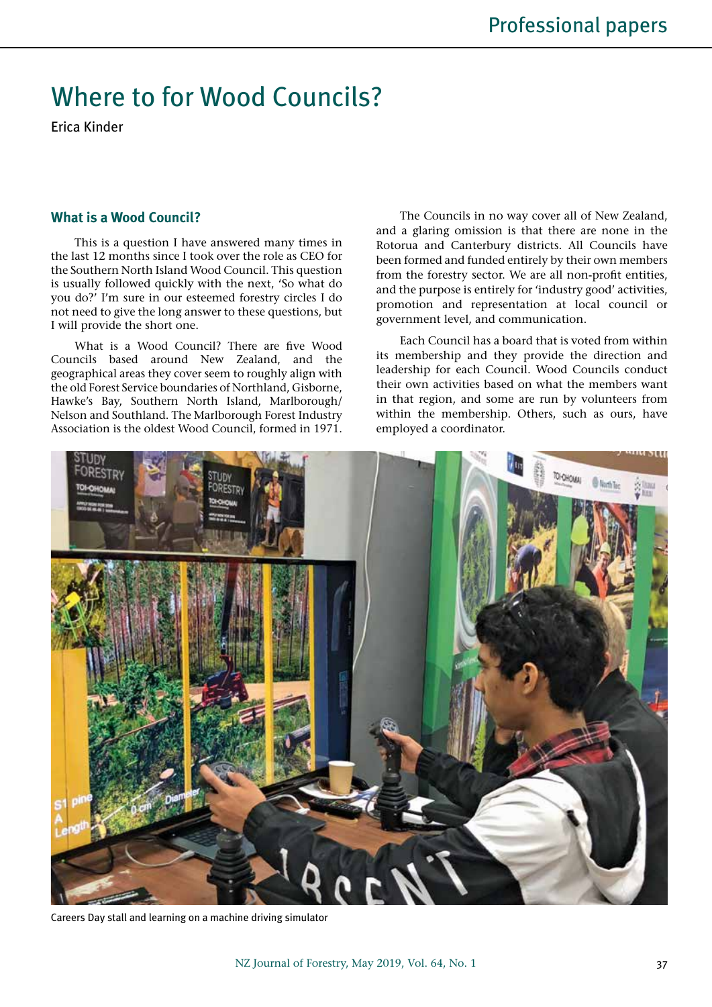# Where to for Wood Councils?

Erica Kinder

## **What is a Wood Council?**

This is a question I have answered many times in the last 12 months since I took over the role as CEO for the Southern North Island Wood Council. This question is usually followed quickly with the next, 'So what do you do?' I'm sure in our esteemed forestry circles I do not need to give the long answer to these questions, but I will provide the short one.

What is a Wood Council? There are five Wood Councils based around New Zealand, and the geographical areas they cover seem to roughly align with the old Forest Service boundaries of Northland, Gisborne, Hawke's Bay, Southern North Island, Marlborough/ Nelson and Southland. The Marlborough Forest Industry Association is the oldest Wood Council, formed in 1971.

The Councils in no way cover all of New Zealand, and a glaring omission is that there are none in the Rotorua and Canterbury districts. All Councils have been formed and funded entirely by their own members from the forestry sector. We are all non-profit entities, and the purpose is entirely for 'industry good' activities, promotion and representation at local council or government level, and communication.

Each Council has a board that is voted from within its membership and they provide the direction and leadership for each Council. Wood Councils conduct their own activities based on what the members want in that region, and some are run by volunteers from within the membership. Others, such as ours, have employed a coordinator.



Careers Day stall and learning on a machine driving simulator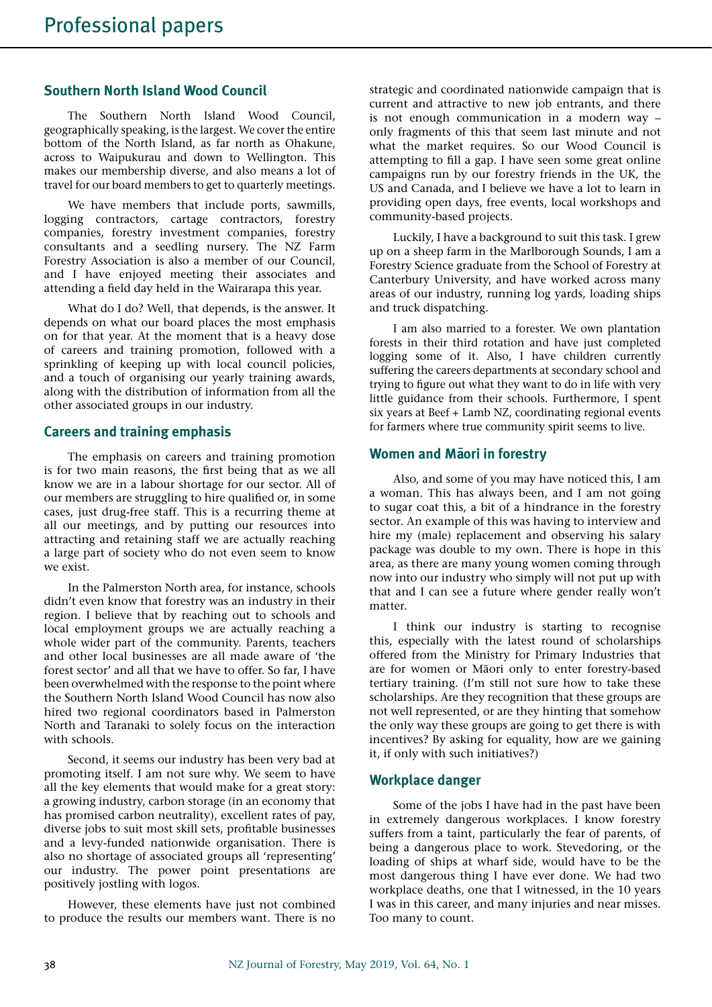# **Southern North Island Wood Council**

The Southern North Island Wood Council, geographically speaking, is the largest. We cover the entire bottom of the North Island, as far north as Ohakune, across to Waipukurau and down to Wellington. This makes our membership diverse, and also means a lot of travel for our board members to get to quarterly meetings.

We have members that include ports, sawmills, logging contractors, cartage contractors, forestry companies, forestry investment companies, forestry consultants and a seedling nursery. The NZ Farm Forestry Association is also a member of our Council, and I have enjoyed meeting their associates and attending a field day held in the Wairarapa this year.

What do I do? Well, that depends, is the answer. It depends on what our board places the most emphasis on for that year. At the moment that is a heavy dose of careers and training promotion, followed with a sprinkling of keeping up with local council policies, and a touch of organising our yearly training awards, along with the distribution of information from all the other associated groups in our industry.

# **Careers and training emphasis**

The emphasis on careers and training promotion is for two main reasons, the first being that as we all know we are in a labour shortage for our sector. All of our members are struggling to hire qualified or, in some cases, just drug-free staff. This is a recurring theme at all our meetings, and by putting our resources into attracting and retaining staff we are actually reaching a large part of society who do not even seem to know we exist.

In the Palmerston North area, for instance, schools didn't even know that forestry was an industry in their region. I believe that by reaching out to schools and local employment groups we are actually reaching a whole wider part of the community. Parents, teachers and other local businesses are all made aware of 'the forest sector' and all that we have to offer. So far, I have been overwhelmed with the response to the point where the Southern North Island Wood Council has now also hired two regional coordinators based in Palmerston North and Taranaki to solely focus on the interaction with schools.

Second, it seems our industry has been very bad at promoting itself. I am not sure why. We seem to have all the key elements that would make for a great story: a growing industry, carbon storage (in an economy that has promised carbon neutrality), excellent rates of pay, diverse jobs to suit most skill sets, profitable businesses and a levy-funded nationwide organisation. There is also no shortage of associated groups all 'representing' our industry. The power point presentations are positively jostling with logos.

However, these elements have just not combined to produce the results our members want. There is no

strategic and coordinated nationwide campaign that is current and attractive to new job entrants, and there is not enough communication in a modern way – only fragments of this that seem last minute and not what the market requires. So our Wood Council is attempting to fill a gap. I have seen some great online campaigns run by our forestry friends in the UK, the US and Canada, and I believe we have a lot to learn in providing open days, free events, local workshops and community-based projects.

Luckily, I have a background to suit this task. I grew up on a sheep farm in the Marlborough Sounds, I am a Forestry Science graduate from the School of Forestry at Canterbury University, and have worked across many areas of our industry, running log yards, loading ships and truck dispatching.

I am also married to a forester. We own plantation forests in their third rotation and have just completed logging some of it. Also, I have children currently suffering the careers departments at secondary school and trying to figure out what they want to do in life with very little guidance from their schools. Furthermore, I spent six years at Beef + Lamb NZ, coordinating regional events for farmers where true community spirit seems to live.

## **Women and Maori in forestry**

Also, and some of you may have noticed this, I am a woman. This has always been, and I am not going to sugar coat this, a bit of a hindrance in the forestry sector. An example of this was having to interview and hire my (male) replacement and observing his salary package was double to my own. There is hope in this area, as there are many young women coming through now into our industry who simply will not put up with that and I can see a future where gender really won't matter.

I think our industry is starting to recognise this, especially with the latest round of scholarships offered from the Ministry for Primary Industries that are for women or Māori only to enter forestry-based tertiary training. (I'm still not sure how to take these scholarships. Are they recognition that these groups are not well represented, or are they hinting that somehow the only way these groups are going to get there is with incentives? By asking for equality, how are we gaining it, if only with such initiatives?)

## **Workplace danger**

Some of the jobs I have had in the past have been in extremely dangerous workplaces. I know forestry suffers from a taint, particularly the fear of parents, of being a dangerous place to work. Stevedoring, or the loading of ships at wharf side, would have to be the most dangerous thing I have ever done. We had two workplace deaths, one that I witnessed, in the 10 years I was in this career, and many injuries and near misses. Too many to count.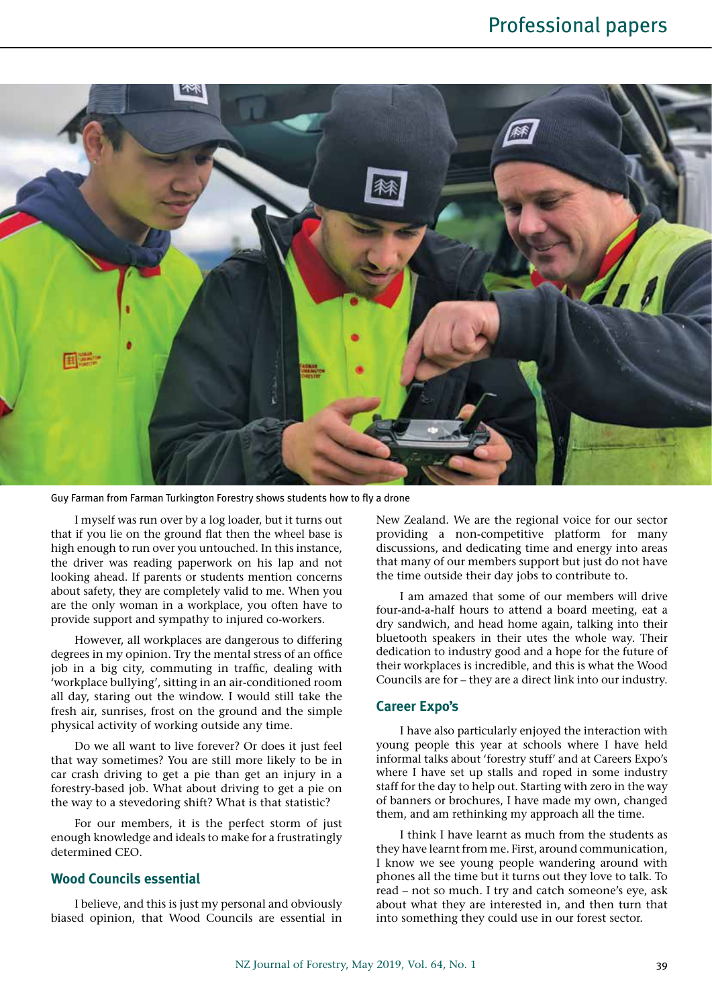

Guy Farman from Farman Turkington Forestry shows students how to fly a drone

I myself was run over by a log loader, but it turns out that if you lie on the ground flat then the wheel base is high enough to run over you untouched. In this instance, the driver was reading paperwork on his lap and not looking ahead. If parents or students mention concerns about safety, they are completely valid to me. When you are the only woman in a workplace, you often have to provide support and sympathy to injured co-workers.

However, all workplaces are dangerous to differing degrees in my opinion. Try the mental stress of an office job in a big city, commuting in traffic, dealing with 'workplace bullying', sitting in an air-conditioned room all day, staring out the window. I would still take the fresh air, sunrises, frost on the ground and the simple physical activity of working outside any time.

Do we all want to live forever? Or does it just feel that way sometimes? You are still more likely to be in car crash driving to get a pie than get an injury in a forestry-based job. What about driving to get a pie on the way to a stevedoring shift? What is that statistic?

For our members, it is the perfect storm of just enough knowledge and ideals to make for a frustratingly determined CEO.

## **Wood Councils essential**

I believe, and this is just my personal and obviously biased opinion, that Wood Councils are essential in New Zealand. We are the regional voice for our sector providing a non-competitive platform for many discussions, and dedicating time and energy into areas that many of our members support but just do not have the time outside their day jobs to contribute to.

I am amazed that some of our members will drive four-and-a-half hours to attend a board meeting, eat a dry sandwich, and head home again, talking into their bluetooth speakers in their utes the whole way. Their dedication to industry good and a hope for the future of their workplaces is incredible, and this is what the Wood Councils are for – they are a direct link into our industry.

#### **Career Expo's**

I have also particularly enjoyed the interaction with young people this year at schools where I have held informal talks about 'forestry stuff' and at Careers Expo's where I have set up stalls and roped in some industry staff for the day to help out. Starting with zero in the way of banners or brochures, I have made my own, changed them, and am rethinking my approach all the time.

I think I have learnt as much from the students as they have learnt from me. First, around communication, I know we see young people wandering around with phones all the time but it turns out they love to talk. To read – not so much. I try and catch someone's eye, ask about what they are interested in, and then turn that into something they could use in our forest sector.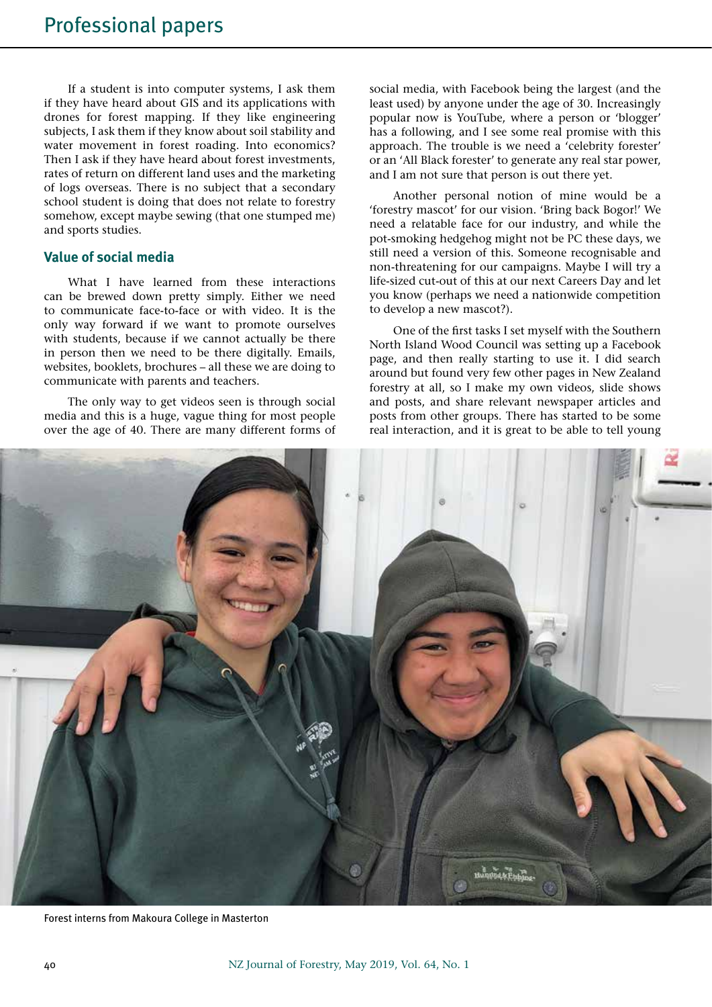If a student is into computer systems, I ask them if they have heard about GIS and its applications with drones for forest mapping. If they like engineering subjects, I ask them if they know about soil stability and water movement in forest roading. Into economics? Then I ask if they have heard about forest investments, rates of return on different land uses and the marketing of logs overseas. There is no subject that a secondary school student is doing that does not relate to forestry somehow, except maybe sewing (that one stumped me) and sports studies.

# **Value of social media**

What I have learned from these interactions can be brewed down pretty simply. Either we need to communicate face-to-face or with video. It is the only way forward if we want to promote ourselves with students, because if we cannot actually be there in person then we need to be there digitally. Emails, websites, booklets, brochures – all these we are doing to communicate with parents and teachers.

The only way to get videos seen is through social media and this is a huge, vague thing for most people over the age of 40. There are many different forms of

social media, with Facebook being the largest (and the least used) by anyone under the age of 30. Increasingly popular now is YouTube, where a person or 'blogger' has a following, and I see some real promise with this approach. The trouble is we need a 'celebrity forester' or an 'All Black forester' to generate any real star power, and I am not sure that person is out there yet.

Another personal notion of mine would be a 'forestry mascot' for our vision. 'Bring back Bogor!' We need a relatable face for our industry, and while the pot-smoking hedgehog might not be PC these days, we still need a version of this. Someone recognisable and non-threatening for our campaigns. Maybe I will try a life-sized cut-out of this at our next Careers Day and let you know (perhaps we need a nationwide competition to develop a new mascot?).

One of the first tasks I set myself with the Southern North Island Wood Council was setting up a Facebook page, and then really starting to use it. I did search around but found very few other pages in New Zealand forestry at all, so I make my own videos, slide shows and posts, and share relevant newspaper articles and posts from other groups. There has started to be some real interaction, and it is great to be able to tell young



Forest interns from Makoura College in Masterton